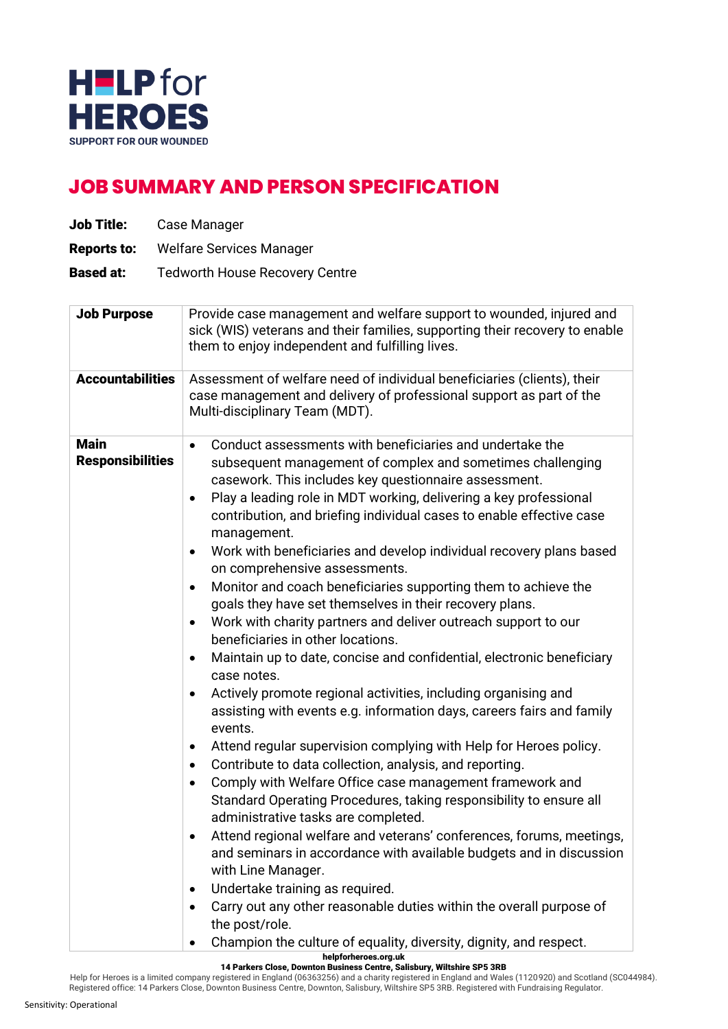

## **JOB SUMMARY AND PERSON SPECIFICATION**

| <b>Job Title:</b>                      |  | Case Manager                                                                                                                                                                                                                                                                                                                                                                                                                                                                                                                                                                                                                                                                                                                                                                                                                                                                                                                                                                                                                                                                                                                                                                                                                                                                                                                                                                                                                                                                                                                                                                                                                                                                        |  |  |
|----------------------------------------|--|-------------------------------------------------------------------------------------------------------------------------------------------------------------------------------------------------------------------------------------------------------------------------------------------------------------------------------------------------------------------------------------------------------------------------------------------------------------------------------------------------------------------------------------------------------------------------------------------------------------------------------------------------------------------------------------------------------------------------------------------------------------------------------------------------------------------------------------------------------------------------------------------------------------------------------------------------------------------------------------------------------------------------------------------------------------------------------------------------------------------------------------------------------------------------------------------------------------------------------------------------------------------------------------------------------------------------------------------------------------------------------------------------------------------------------------------------------------------------------------------------------------------------------------------------------------------------------------------------------------------------------------------------------------------------------------|--|--|
| <b>Reports to:</b>                     |  | <b>Welfare Services Manager</b>                                                                                                                                                                                                                                                                                                                                                                                                                                                                                                                                                                                                                                                                                                                                                                                                                                                                                                                                                                                                                                                                                                                                                                                                                                                                                                                                                                                                                                                                                                                                                                                                                                                     |  |  |
| <b>Based at:</b>                       |  | <b>Tedworth House Recovery Centre</b>                                                                                                                                                                                                                                                                                                                                                                                                                                                                                                                                                                                                                                                                                                                                                                                                                                                                                                                                                                                                                                                                                                                                                                                                                                                                                                                                                                                                                                                                                                                                                                                                                                               |  |  |
| <b>Job Purpose</b>                     |  | Provide case management and welfare support to wounded, injured and<br>sick (WIS) veterans and their families, supporting their recovery to enable<br>them to enjoy independent and fulfilling lives.                                                                                                                                                                                                                                                                                                                                                                                                                                                                                                                                                                                                                                                                                                                                                                                                                                                                                                                                                                                                                                                                                                                                                                                                                                                                                                                                                                                                                                                                               |  |  |
| <b>Accountabilities</b>                |  | Assessment of welfare need of individual beneficiaries (clients), their<br>case management and delivery of professional support as part of the<br>Multi-disciplinary Team (MDT).                                                                                                                                                                                                                                                                                                                                                                                                                                                                                                                                                                                                                                                                                                                                                                                                                                                                                                                                                                                                                                                                                                                                                                                                                                                                                                                                                                                                                                                                                                    |  |  |
| <b>Main</b><br><b>Responsibilities</b> |  | Conduct assessments with beneficiaries and undertake the<br>$\bullet$<br>subsequent management of complex and sometimes challenging<br>casework. This includes key questionnaire assessment.<br>Play a leading role in MDT working, delivering a key professional<br>$\bullet$<br>contribution, and briefing individual cases to enable effective case<br>management.<br>Work with beneficiaries and develop individual recovery plans based<br>$\bullet$<br>on comprehensive assessments.<br>Monitor and coach beneficiaries supporting them to achieve the<br>$\bullet$<br>goals they have set themselves in their recovery plans.<br>Work with charity partners and deliver outreach support to our<br>$\bullet$<br>beneficiaries in other locations.<br>Maintain up to date, concise and confidential, electronic beneficiary<br>$\bullet$<br>case notes.<br>Actively promote regional activities, including organising and<br>$\bullet$<br>assisting with events e.g. information days, careers fairs and family<br>events.<br>Attend regular supervision complying with Help for Heroes policy.<br>$\bullet$<br>Contribute to data collection, analysis, and reporting.<br>Comply with Welfare Office case management framework and<br>٠<br>Standard Operating Procedures, taking responsibility to ensure all<br>administrative tasks are completed.<br>Attend regional welfare and veterans' conferences, forums, meetings,<br>$\bullet$<br>and seminars in accordance with available budgets and in discussion<br>with Line Manager.<br>Undertake training as required.<br>٠<br>Carry out any other reasonable duties within the overall purpose of<br>٠<br>the post/role. |  |  |

helpforheroes.org.uk

Registered office: 14 Parkers Close, Downton Business Centre, Downton, Salisbury, Wiltshire SP5 3RB. Registered with Fundraising Regulator.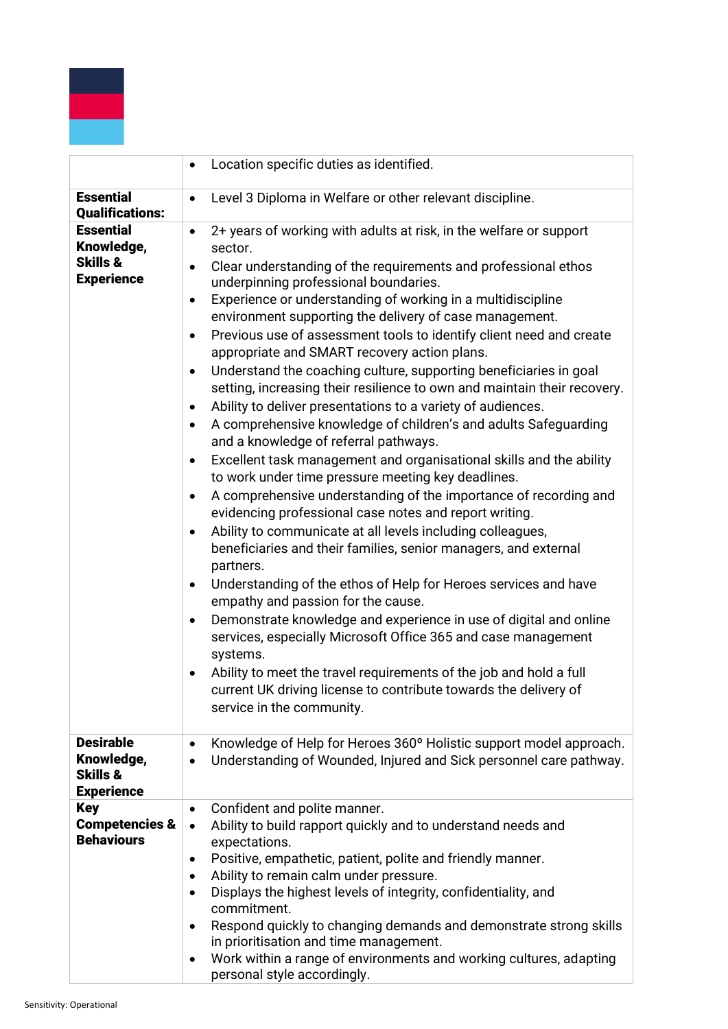

|                                                                            | Location specific duties as identified.                                                                                                                                                                                                                                                                                                                                                                                                                                                                                                                                                                                                                                                                                                                                                                                                                                                                                                                                                                                                                                                                                                                                                                                                                                                                                                                                                                                                                                                                                                                                                                                                                                                                                                   |
|----------------------------------------------------------------------------|-------------------------------------------------------------------------------------------------------------------------------------------------------------------------------------------------------------------------------------------------------------------------------------------------------------------------------------------------------------------------------------------------------------------------------------------------------------------------------------------------------------------------------------------------------------------------------------------------------------------------------------------------------------------------------------------------------------------------------------------------------------------------------------------------------------------------------------------------------------------------------------------------------------------------------------------------------------------------------------------------------------------------------------------------------------------------------------------------------------------------------------------------------------------------------------------------------------------------------------------------------------------------------------------------------------------------------------------------------------------------------------------------------------------------------------------------------------------------------------------------------------------------------------------------------------------------------------------------------------------------------------------------------------------------------------------------------------------------------------------|
| <b>Essential</b><br><b>Qualifications:</b>                                 | Level 3 Diploma in Welfare or other relevant discipline.<br>$\bullet$                                                                                                                                                                                                                                                                                                                                                                                                                                                                                                                                                                                                                                                                                                                                                                                                                                                                                                                                                                                                                                                                                                                                                                                                                                                                                                                                                                                                                                                                                                                                                                                                                                                                     |
| <b>Essential</b><br>Knowledge,<br><b>Skills &amp;</b><br><b>Experience</b> | 2+ years of working with adults at risk, in the welfare or support<br>$\bullet$<br>sector.<br>Clear understanding of the requirements and professional ethos<br>$\bullet$<br>underpinning professional boundaries.<br>Experience or understanding of working in a multidiscipline<br>$\bullet$<br>environment supporting the delivery of case management.<br>Previous use of assessment tools to identify client need and create<br>$\bullet$<br>appropriate and SMART recovery action plans.<br>Understand the coaching culture, supporting beneficiaries in goal<br>$\bullet$<br>setting, increasing their resilience to own and maintain their recovery.<br>Ability to deliver presentations to a variety of audiences.<br>$\bullet$<br>A comprehensive knowledge of children's and adults Safeguarding<br>٠<br>and a knowledge of referral pathways.<br>Excellent task management and organisational skills and the ability<br>$\bullet$<br>to work under time pressure meeting key deadlines.<br>A comprehensive understanding of the importance of recording and<br>٠<br>evidencing professional case notes and report writing.<br>Ability to communicate at all levels including colleagues,<br>٠<br>beneficiaries and their families, senior managers, and external<br>partners.<br>Understanding of the ethos of Help for Heroes services and have<br>٠<br>empathy and passion for the cause.<br>Demonstrate knowledge and experience in use of digital and online<br>٠<br>services, especially Microsoft Office 365 and case management<br>systems.<br>Ability to meet the travel requirements of the job and hold a full<br>٠<br>current UK driving license to contribute towards the delivery of<br>service in the community. |
| <b>Desirable</b><br>Knowledge,<br><b>Skills &amp;</b><br><b>Experience</b> | Knowledge of Help for Heroes 360° Holistic support model approach.<br>$\bullet$<br>Understanding of Wounded, Injured and Sick personnel care pathway.<br>$\bullet$                                                                                                                                                                                                                                                                                                                                                                                                                                                                                                                                                                                                                                                                                                                                                                                                                                                                                                                                                                                                                                                                                                                                                                                                                                                                                                                                                                                                                                                                                                                                                                        |
| <b>Key</b><br><b>Competencies &amp;</b><br><b>Behaviours</b>               | Confident and polite manner.<br>$\bullet$<br>Ability to build rapport quickly and to understand needs and<br>$\bullet$<br>expectations.<br>Positive, empathetic, patient, polite and friendly manner.<br>$\bullet$<br>Ability to remain calm under pressure.<br>٠<br>Displays the highest levels of integrity, confidentiality, and<br>٠<br>commitment.<br>Respond quickly to changing demands and demonstrate strong skills<br>$\bullet$<br>in prioritisation and time management.<br>Work within a range of environments and working cultures, adapting<br>٠<br>personal style accordingly.                                                                                                                                                                                                                                                                                                                                                                                                                                                                                                                                                                                                                                                                                                                                                                                                                                                                                                                                                                                                                                                                                                                                             |